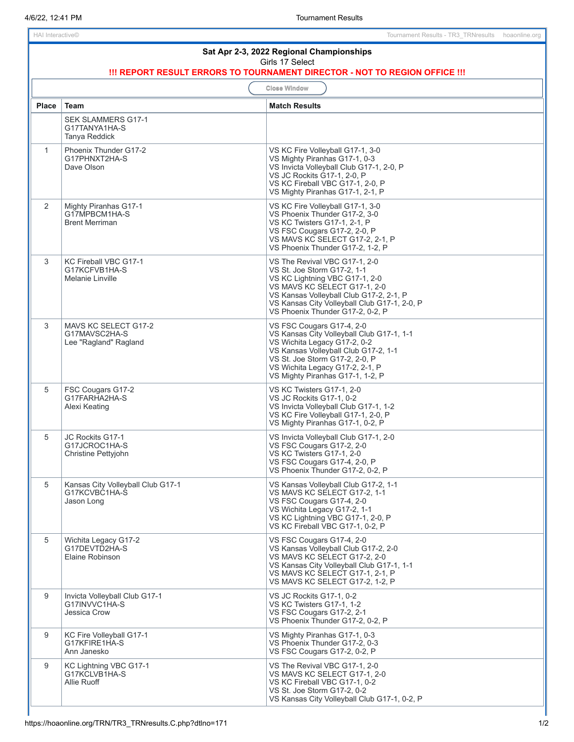| Sat Apr 2-3, 2022 Regional Championships<br>Girls 17 Select<br>!!! REPORT RESULT ERRORS TO TOURNAMENT DIRECTOR - NOT TO REGION OFFICE !!! |                                                                   |                                                                                                                                                                                                                                                               |  |
|-------------------------------------------------------------------------------------------------------------------------------------------|-------------------------------------------------------------------|---------------------------------------------------------------------------------------------------------------------------------------------------------------------------------------------------------------------------------------------------------------|--|
| <b>Close Window</b>                                                                                                                       |                                                                   |                                                                                                                                                                                                                                                               |  |
| <b>Place</b>                                                                                                                              | <b>Team</b>                                                       | <b>Match Results</b>                                                                                                                                                                                                                                          |  |
|                                                                                                                                           | <b>SEK SLAMMERS G17-1</b><br>G17TANYA1HA-S<br>Tanya Reddick       |                                                                                                                                                                                                                                                               |  |
| $\mathbf{1}$                                                                                                                              | Phoenix Thunder G17-2<br>G17PHNXT2HA-S<br>Dave Olson              | VS KC Fire Volleyball G17-1, 3-0<br>VS Mighty Piranhas G17-1, 0-3<br>VS Invicta Volleyball Club G17-1, 2-0, P<br>VS JC Rockits G17-1, 2-0, P<br>VS KC Fireball VBC G17-1, 2-0, P<br>VS Mighty Piranhas G17-1, 2-1, P                                          |  |
| 2                                                                                                                                         | Mighty Piranhas G17-1<br>G17MPBCM1HA-S<br><b>Brent Merriman</b>   | VS KC Fire Volleyball G17-1, 3-0<br>VS Phoenix Thunder G17-2, 3-0<br>VS KC Twisters G17-1, 2-1, P<br>VS FSC Cougars G17-2, 2-0, P<br>VS MAVS KC SELECT G17-2, 2-1, P<br>VS Phoenix Thunder G17-2, 1-2, P                                                      |  |
| 3                                                                                                                                         | KC Fireball VBC G17-1<br>G17KCFVB1HA-S<br><b>Melanie Linville</b> | VS The Revival VBC G17-1, 2-0<br>VS St. Joe Storm G17-2, 1-1<br>VS KC Lightning VBC G17-1, 2-0<br>VS MAVS KC SELECT G17-1, 2-0<br>VS Kansas Volleyball Club G17-2, 2-1, P<br>VS Kansas City Volleyball Club G17-1, 2-0, P<br>VS Phoenix Thunder G17-2, 0-2, P |  |
| 3                                                                                                                                         | MAVS KC SELECT G17-2<br>G17MAVSC2HA-S<br>Lee "Ragland" Ragland    | VS FSC Cougars G17-4, 2-0<br>VS Kansas City Volleyball Club G17-1, 1-1<br>VS Wichita Legacy G17-2, 0-2<br>VS Kansas Volleyball Club G17-2, 1-1<br>VS St. Joe Storm G17-2, 2-0, P<br>VS Wichita Legacy G17-2, 2-1, P<br>VS Mighty Piranhas G17-1, 1-2, P       |  |
| 5                                                                                                                                         | FSC Cougars G17-2<br>G17FARHA2HA-S<br>Alexi Keating               | VS KC Twisters G17-1, 2-0<br>VS JC Rockits G17-1, 0-2<br>VS Invicta Volleyball Club G17-1, 1-2<br>VS KC Fire Volleyball G17-1, 2-0, P<br>VS Mighty Piranhas G17-1, 0-2, P                                                                                     |  |
| 5                                                                                                                                         | JC Rockits G17-1<br>G17JCROC1HA-S<br>Christine Pettyjohn          | VS Invicta Volleyball Club G17-1, 2-0<br>VS FSC Cougars G17-2, 2-0<br>VS KC Twisters G17-1, 2-0<br>VS FSC Cougars G17-4, 2-0, P<br>VS Phoenix Thunder G17-2, 0-2, P                                                                                           |  |
| 5                                                                                                                                         | Kansas City Volleyball Club G17-1<br>G17KCVBC1HA-S<br>Jason Long  | VS Kansas Volleyball Club G17-2, 1-1<br>VS MAVS KC SELECT G17-2, 1-1<br>VS FSC Cougars G17-4, 2-0<br>VS Wichita Legacy G17-2, 1-1<br>VS KC Lightning VBC G17-1, 2-0, P<br>VS KC Fireball VBC G17-1, 0-2, P                                                    |  |
| 5                                                                                                                                         | Wichita Legacy G17-2<br>G17DEVTD2HA-S<br>Elaine Robinson          | VS FSC Cougars G17-4, 2-0<br>VS Kansas Volleyball Club G17-2, 2-0<br>VS MAVS KC SELECT G17-2, 2-0<br>VS Kansas City Volleyball Club G17-1, 1-1<br>VS MAVS KC SELECT G17-1, 2-1, P<br>VS MAVS KC SELECT G17-2, 1-2, P                                          |  |
| 9                                                                                                                                         | Invicta Volleyball Club G17-1<br>G17INVVC1HA-S<br>Jessica Crow    | VS JC Rockits G17-1, 0-2<br><b>VS KC Twisters G17-1, 1-2</b><br>VS FSC Cougars G17-2, 2-1<br>VS Phoenix Thunder G17-2, 0-2, P                                                                                                                                 |  |
| 9                                                                                                                                         | KC Fire Volleyball G17-1<br>G17KFIRE1HA-S<br>Ann Janesko          | VS Mighty Piranhas G17-1, 0-3<br>VS Phoenix Thunder G17-2, 0-3<br>VS FSC Cougars G17-2, 0-2, P                                                                                                                                                                |  |
| 9                                                                                                                                         | KC Lightning VBC G17-1<br>G17KCLVB1HA-S<br>Allie Ruoff            | VS The Revival VBC G17-1, 2-0<br>VS MAVS KC SELECT G17-1, 2-0<br>VS KC Fireball VBC G17-1, 0-2<br>VS St. Joe Storm G17-2, 0-2<br>VS Kansas City Volleyball Club G17-1, 0-2, P                                                                                 |  |